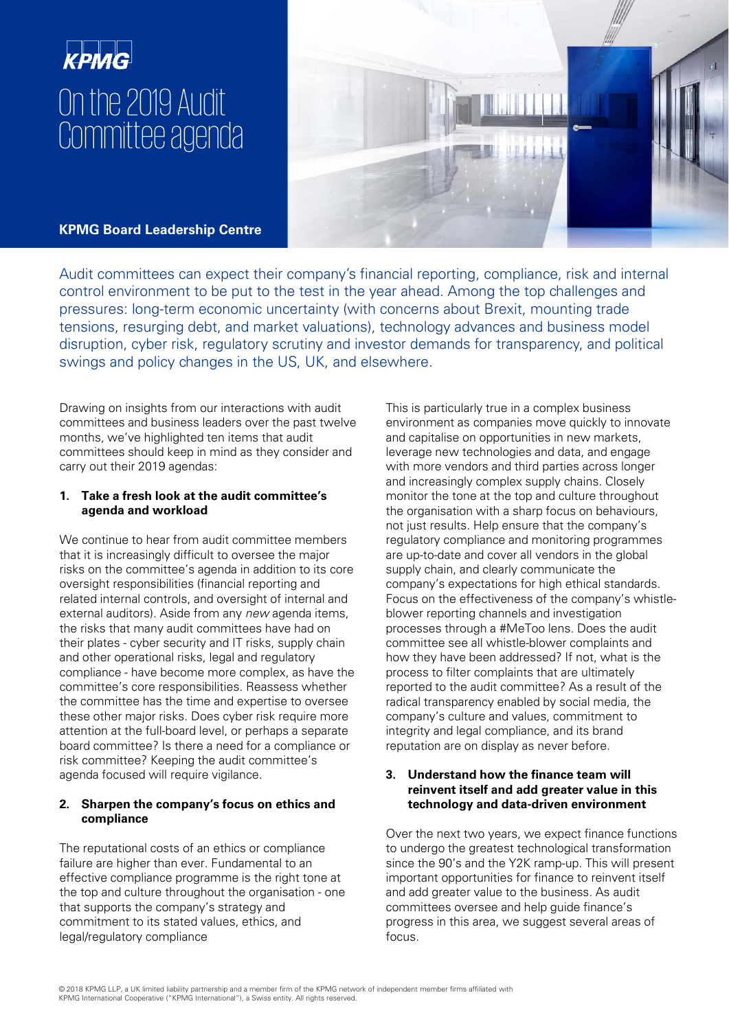# On the 2019 Audit Committee agenda

**KPMG Board Leadership Centre**

Audit committees can expect their company's financial reporting, compliance, risk and internal control environment to be put to the test in the year ahead. Among the top challenges and pressures: long-term economic uncertainty (with concerns about Brexit, mounting trade tensions, resurging debt, and market valuations), technology advances and business model disruption, cyber risk, regulatory scrutiny and investor demands for transparency, and political swings and policy changes in the US, UK, and elsewhere.

Drawing on insights from our interactions with audit committees and business leaders over the past twelve months, we've highlighted ten items that audit committees should keep in mind as they consider and carry out their 2019 agendas:

## **1. Take a fresh look at the audit committee's agenda and workload**

We continue to hear from audit committee members that it is increasingly difficult to oversee the major risks on the committee's agenda in addition to its core oversight responsibilities (financial reporting and related internal controls, and oversight of internal and external auditors). Aside from any new agenda items, the risks that many audit committees have had on their plates - cyber security and IT risks, supply chain and other operational risks, legal and regulatory compliance - have become more complex, as have the committee's core responsibilities. Reassess whether the committee has the time and expertise to oversee these other major risks. Does cyber risk require more attention at the full-board level, or perhaps a separate board committee? Is there a need for a compliance or risk committee? Keeping the audit committee's agenda focused will require vigilance.

# **2. Sharpen the company's focus on ethics and compliance**

The reputational costs of an ethics or compliance failure are higher than ever. Fundamental to an effective compliance programme is the right tone at the top and culture throughout the organisation - one that supports the company's strategy and commitment to its stated values, ethics, and legal/regulatory compliance

This is particularly true in a complex business environment as companies move quickly to innovate and capitalise on opportunities in new markets, leverage new technologies and data, and engage with more vendors and third parties across longer and increasingly complex supply chains. Closely monitor the tone at the top and culture throughout the organisation with a sharp focus on behaviours, not just results. Help ensure that the company's regulatory compliance and monitoring programmes are up-to-date and cover all vendors in the global supply chain, and clearly communicate the company's expectations for high ethical standards. Focus on the effectiveness of the company's whistleblower reporting channels and investigation processes through a #MeToo lens. Does the audit committee see all whistle-blower complaints and how they have been addressed? If not, what is the process to filter complaints that are ultimately reported to the audit committee? As a result of the radical transparency enabled by social media, the company's culture and values, commitment to integrity and legal compliance, and its brand reputation are on display as never before.

## **3. Understand how the finance team will reinvent itself and add greater value in this technology and data-driven environment**

Over the next two years, we expect finance functions to undergo the greatest technological transformation since the 90's and the Y2K ramp-up. This will present important opportunities for finance to reinvent itself and add greater value to the business. As audit committees oversee and help guide finance's progress in this area, we suggest several areas of focus.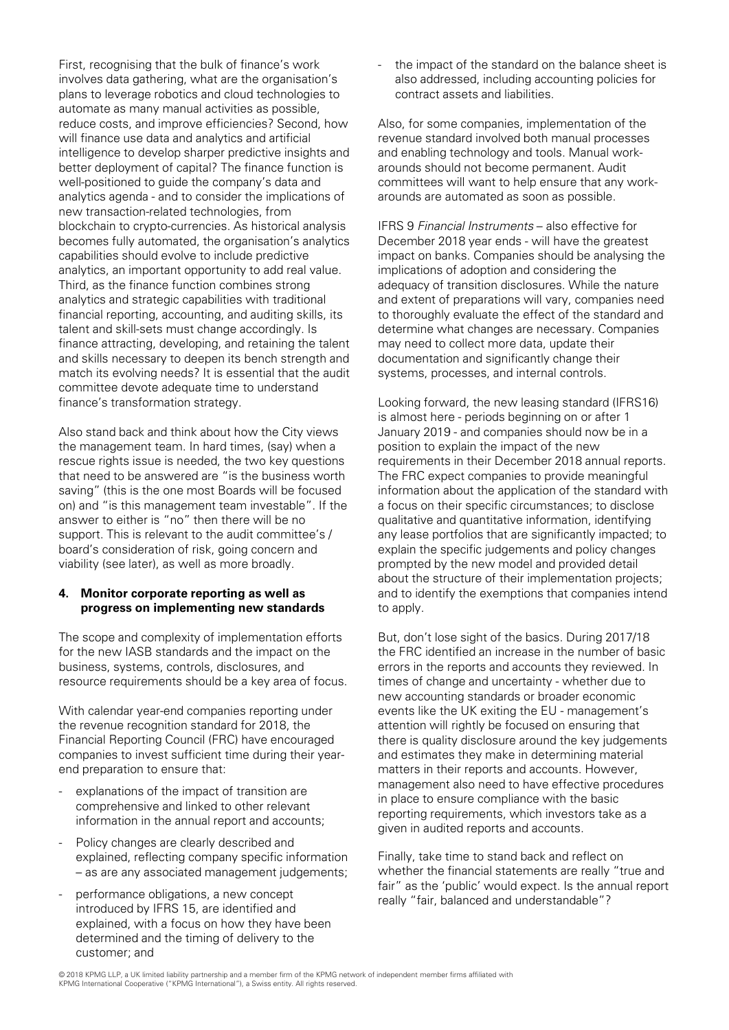First, recognising that the bulk of finance's work involves data gathering, what are the organisation's plans to leverage robotics and cloud technologies to automate as many manual activities as possible, reduce costs, and improve efficiencies? Second, how will finance use data and analytics and artificial intelligence to develop sharper predictive insights and better deployment of capital? The finance function is well-positioned to guide the company's data and analytics agenda - and to consider the implications of new transaction-related technologies, from blockchain to crypto-currencies. As historical analysis becomes fully automated, the organisation's analytics capabilities should evolve to include predictive analytics, an important opportunity to add real value. Third, as the finance function combines strong analytics and strategic capabilities with traditional financial reporting, accounting, and auditing skills, its talent and skill-sets must change accordingly. Is finance attracting, developing, and retaining the talent and skills necessary to deepen its bench strength and match its evolving needs? It is essential that the audit committee devote adequate time to understand finance's transformation strategy.

Also stand back and think about how the City views the management team. In hard times, (say) when a rescue rights issue is needed, the two key questions that need to be answered are "is the business worth saving" (this is the one most Boards will be focused on) and "is this management team investable". If the answer to either is "no" then there will be no support. This is relevant to the audit committee's / board's consideration of risk, going concern and viability (see later), as well as more broadly.

#### **4. Monitor corporate reporting as well as progress on implementing new standards**

The scope and complexity of implementation efforts for the new IASB standards and the impact on the business, systems, controls, disclosures, and resource requirements should be a key area of focus.

With calendar year-end companies reporting under the revenue recognition standard for 2018, the Financial Reporting Council (FRC) have encouraged companies to invest sufficient time during their yearend preparation to ensure that:

- explanations of the impact of transition are comprehensive and linked to other relevant information in the annual report and accounts;
- Policy changes are clearly described and explained, reflecting company specific information – as are any associated management judgements;
- performance obligations, a new concept introduced by IFRS 15, are identified and explained, with a focus on how they have been determined and the timing of delivery to the customer; and

the impact of the standard on the balance sheet is also addressed, including accounting policies for contract assets and liabilities.

Also, for some companies, implementation of the revenue standard involved both manual processes and enabling technology and tools. Manual workarounds should not become permanent. Audit committees will want to help ensure that any workarounds are automated as soon as possible.

IFRS 9 Financial Instruments – also effective for December 2018 year ends - will have the greatest impact on banks. Companies should be analysing the implications of adoption and considering the adequacy of transition disclosures. While the nature and extent of preparations will vary, companies need to thoroughly evaluate the effect of the standard and determine what changes are necessary. Companies may need to collect more data, update their documentation and significantly change their systems, processes, and internal controls.

Looking forward, the new leasing standard (IFRS16) is almost here - periods beginning on or after 1 January 2019 - and companies should now be in a position to explain the impact of the new requirements in their December 2018 annual reports. The FRC expect companies to provide meaningful information about the application of the standard with a focus on their specific circumstances; to disclose qualitative and quantitative information, identifying any lease portfolios that are significantly impacted; to explain the specific judgements and policy changes prompted by the new model and provided detail about the structure of their implementation projects; and to identify the exemptions that companies intend to apply.

But, don't lose sight of the basics. During 2017/18 the FRC identified an increase in the number of basic errors in the reports and accounts they reviewed. In times of change and uncertainty - whether due to new accounting standards or broader economic events like the UK exiting the EU - management's attention will rightly be focused on ensuring that there is quality disclosure around the key judgements and estimates they make in determining material matters in their reports and accounts. However, management also need to have effective procedures in place to ensure compliance with the basic reporting requirements, which investors take as a given in audited reports and accounts.

Finally, take time to stand back and reflect on whether the financial statements are really "true and fair" as the 'public' would expect. Is the annual report really "fair, balanced and understandable"?

<sup>© 2018</sup> KPMG LLP, a UK limited liability partnership and a member firm of the KPMG network of independent member firms affiliated with KPMG International Cooperative ("KPMG International"), a Swiss entity. All rights reserved.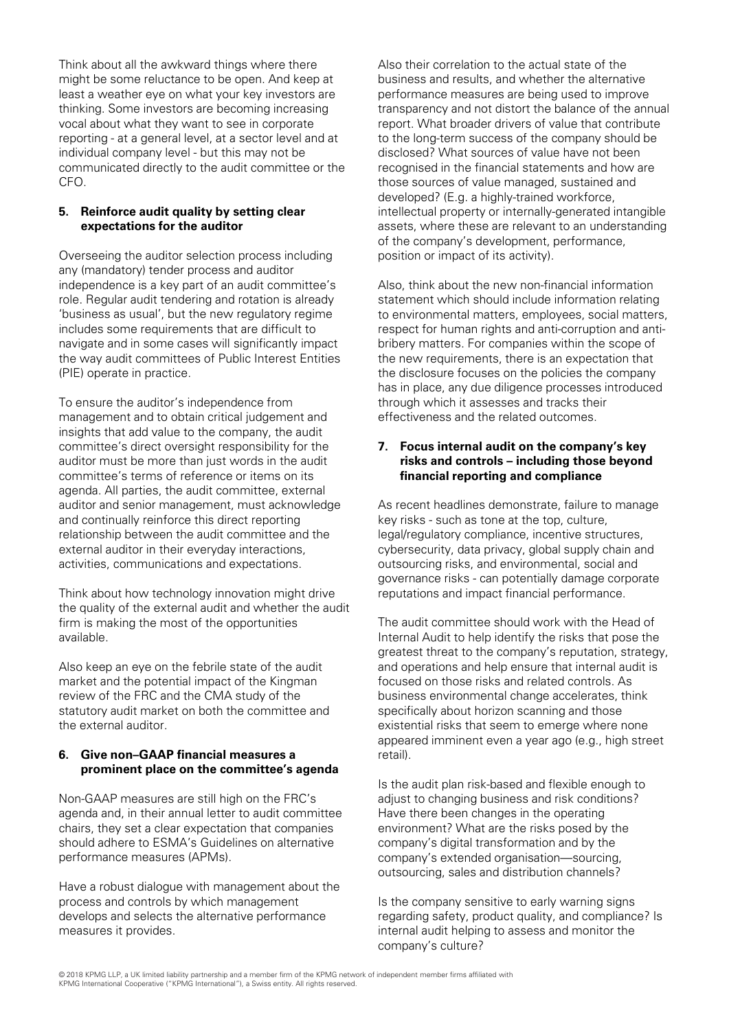Think about all the awkward things where there Also their correlation to the actual state of the might be some reluctance to be open. And keep at business and results, and whether the alternative least a weather eye on what your key investors are performance measures are being used to improve vocal about what they want to see in corporate report. What broader drivers of value that contribute reporting - at a general level, at a sector level and at to the long-term success of the company should be individual company level - but this may not be disclosed? What sources of value have not been communicated directly to the audit committee or the recognised in the financial statements and how are CFO. those sources of value managed, sustained and

Overseeing the auditor selection process including any (mandatory) tender process and auditor independence is a key part of an audit committee's Also, think about the new non-financial information navigate and in some cases will significantly impact bribery matters. For companies within the scope of the way audit committees of Public Interest Entities the new requirements, there is an expectation that (PIE) operate in practice. the disclosure focuses on the policies the company

To ensure the auditor's independence from through which it assesses and tracks their management and to obtain critical judgement and effectiveness and the related outcomes. insights that add value to the company, the audit committee's direct oversight responsibility for the **7. Focus internal audit on the company's key**  auditor must be more than just words in the audit **risks and controls – including those beyond**  committee's terms of reference or items on its **financial reporting and compliance** agenda. All parties, the audit committee, external auditor and senior management, must acknowledge As recent headlines demonstrate, failure to manage and continually reinforce this direct reporting key risks - such as tone at the top, culture, relationship between the audit committee and the legal/regulatory compliance, incentive structures, external auditor in their everyday interactions, external auditor in their everyday interactions, external supply chain and activities, communications and expectations. outsourcing risks, and environmental, social and

Think about how technology innovation might drive reputations and impact financial performance. the quality of the external audit and whether the audit firm is making the most of the opportunities The audit committee should work with the Head of available. Internal Audit to help identify the risks that pose the

market and the potential impact of the Kingman focused on those risks and related controls. As review of the FRC and the CMA study of the business environmental change accelerates, think statutory audit market on both the committee and specifically about horizon scanning and those the external auditor. existential risks that seem to emerge where none

# **6. Give non–GAAP financial measures a retail**). **prominent place on the committee's agenda**

Non-GAAP measures are still high on the FRC's adjust to changing business and risk conditions? agenda and, in their annual letter to audit committee Have there been changes in the operating chairs, they set a clear expectation that companies environment? What are the risks posed by the should adhere to ESMA's Guidelines on alternative company's digital transformation and by the performance measures (APMs). company's extended organisation—sourcing,

Have a robust dialogue with management about the process and controls by which management Is the company sensitive to early warning signs measures it provides. internal audit helping to assess and monitor the

thinking. Some investors are becoming increasing transparency and not distort the balance of the annual developed? (E.g. a highly-trained workforce, **5. Reinforce audit quality by setting clear intellectual property or internally-generated intangible expectations for the auditor and all assets**, where these are relevant to an understanding of the company's development, performance, position or impact of its activity).

role. Regular audit tendering and rotation is already statement which should include information relating 'business as usual', but the new regulatory regime to environmental matters, employees, social matters, includes some requirements that are difficult to respect for human rights and anti-corruption and antihas in place, any due diligence processes introduced

governance risks - can potentially damage corporate

greatest threat to the company's reputation, strategy, Also keep an eye on the febrile state of the audit and operations and help ensure that internal audit is appeared imminent even a year ago (e.g., high street

> Is the audit plan risk-based and flexible enough to outsourcing, sales and distribution channels?

develops and selects the alternative performance regarding safety, product quality, and compliance? Is company's culture?